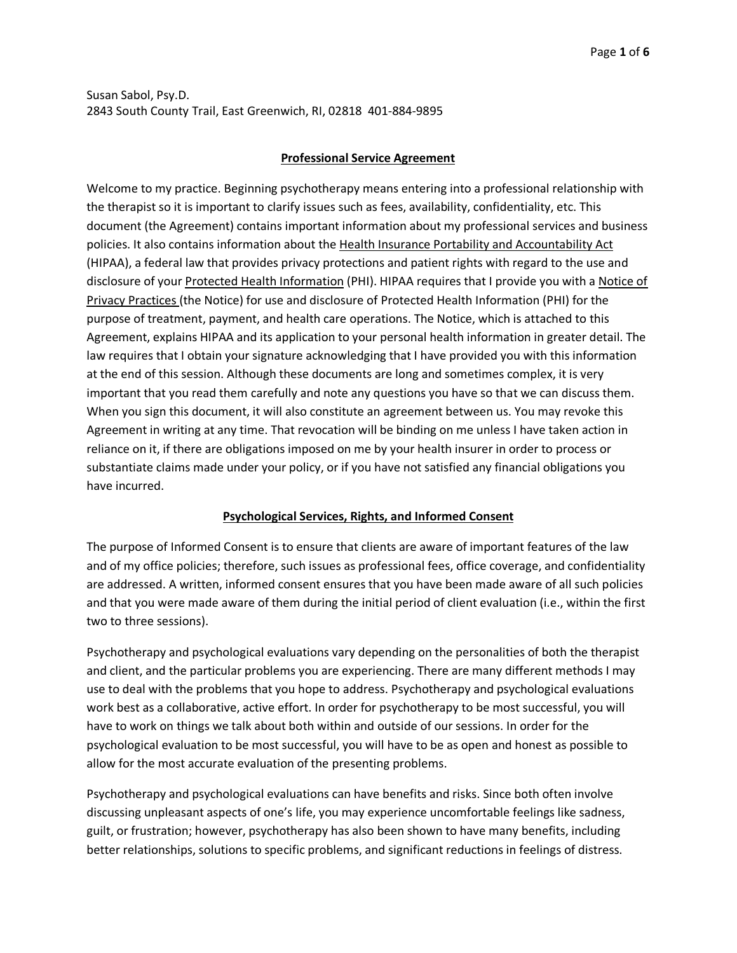### **Professional Service Agreement**

Welcome to my practice. Beginning psychotherapy means entering into a professional relationship with the therapist so it is important to clarify issues such as fees, availability, confidentiality, etc. This document (the Agreement) contains important information about my professional services and business policies. It also contains information about the Health Insurance Portability and Accountability Act (HIPAA), a federal law that provides privacy protections and patient rights with regard to the use and disclosure of your Protected Health Information (PHI). HIPAA requires that I provide you with a Notice of Privacy Practices (the Notice) for use and disclosure of Protected Health Information (PHI) for the purpose of treatment, payment, and health care operations. The Notice, which is attached to this Agreement, explains HIPAA and its application to your personal health information in greater detail. The law requires that I obtain your signature acknowledging that I have provided you with this information at the end of this session. Although these documents are long and sometimes complex, it is very important that you read them carefully and note any questions you have so that we can discuss them. When you sign this document, it will also constitute an agreement between us. You may revoke this Agreement in writing at any time. That revocation will be binding on me unless I have taken action in reliance on it, if there are obligations imposed on me by your health insurer in order to process or substantiate claims made under your policy, or if you have not satisfied any financial obligations you have incurred.

## **Psychological Services, Rights, and Informed Consent**

The purpose of Informed Consent is to ensure that clients are aware of important features of the law and of my office policies; therefore, such issues as professional fees, office coverage, and confidentiality are addressed. A written, informed consent ensures that you have been made aware of all such policies and that you were made aware of them during the initial period of client evaluation (i.e., within the first two to three sessions).

Psychotherapy and psychological evaluations vary depending on the personalities of both the therapist and client, and the particular problems you are experiencing. There are many different methods I may use to deal with the problems that you hope to address. Psychotherapy and psychological evaluations work best as a collaborative, active effort. In order for psychotherapy to be most successful, you will have to work on things we talk about both within and outside of our sessions. In order for the psychological evaluation to be most successful, you will have to be as open and honest as possible to allow for the most accurate evaluation of the presenting problems.

Psychotherapy and psychological evaluations can have benefits and risks. Since both often involve discussing unpleasant aspects of one's life, you may experience uncomfortable feelings like sadness, guilt, or frustration; however, psychotherapy has also been shown to have many benefits, including better relationships, solutions to specific problems, and significant reductions in feelings of distress.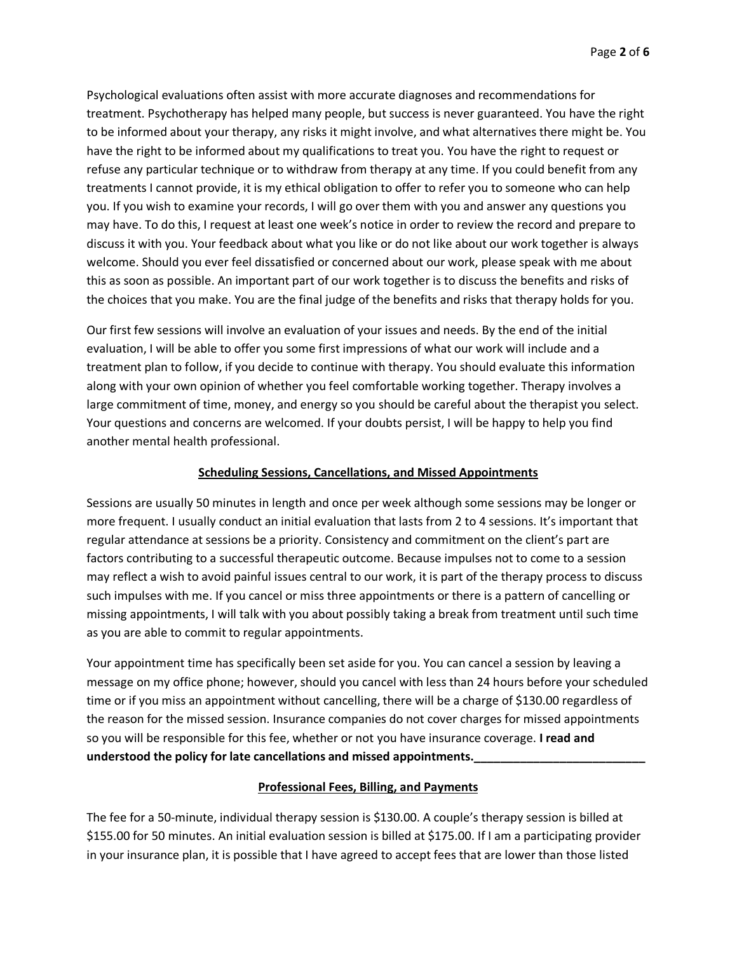Psychological evaluations often assist with more accurate diagnoses and recommendations for treatment. Psychotherapy has helped many people, but success is never guaranteed. You have the right to be informed about your therapy, any risks it might involve, and what alternatives there might be. You have the right to be informed about my qualifications to treat you. You have the right to request or refuse any particular technique or to withdraw from therapy at any time. If you could benefit from any treatments I cannot provide, it is my ethical obligation to offer to refer you to someone who can help you. If you wish to examine your records, I will go over them with you and answer any questions you may have. To do this, I request at least one week's notice in order to review the record and prepare to discuss it with you. Your feedback about what you like or do not like about our work together is always welcome. Should you ever feel dissatisfied or concerned about our work, please speak with me about this as soon as possible. An important part of our work together is to discuss the benefits and risks of the choices that you make. You are the final judge of the benefits and risks that therapy holds for you.

Our first few sessions will involve an evaluation of your issues and needs. By the end of the initial evaluation, I will be able to offer you some first impressions of what our work will include and a treatment plan to follow, if you decide to continue with therapy. You should evaluate this information along with your own opinion of whether you feel comfortable working together. Therapy involves a large commitment of time, money, and energy so you should be careful about the therapist you select. Your questions and concerns are welcomed. If your doubts persist, I will be happy to help you find another mental health professional.

### **Scheduling Sessions, Cancellations, and Missed Appointments**

Sessions are usually 50 minutes in length and once per week although some sessions may be longer or more frequent. I usually conduct an initial evaluation that lasts from 2 to 4 sessions. It's important that regular attendance at sessions be a priority. Consistency and commitment on the client's part are factors contributing to a successful therapeutic outcome. Because impulses not to come to a session may reflect a wish to avoid painful issues central to our work, it is part of the therapy process to discuss such impulses with me. If you cancel or miss three appointments or there is a pattern of cancelling or missing appointments, I will talk with you about possibly taking a break from treatment until such time as you are able to commit to regular appointments.

Your appointment time has specifically been set aside for you. You can cancel a session by leaving a message on my office phone; however, should you cancel with less than 24 hours before your scheduled time or if you miss an appointment without cancelling, there will be a charge of \$130.00 regardless of the reason for the missed session. Insurance companies do not cover charges for missed appointments so you will be responsible for this fee, whether or not you have insurance coverage. **I read and**  understood the policy for late cancellations and missed appointments.

## **Professional Fees, Billing, and Payments**

The fee for a 50-minute, individual therapy session is \$130.00. A couple's therapy session is billed at \$155.00 for 50 minutes. An initial evaluation session is billed at \$175.00. If I am a participating provider in your insurance plan, it is possible that I have agreed to accept fees that are lower than those listed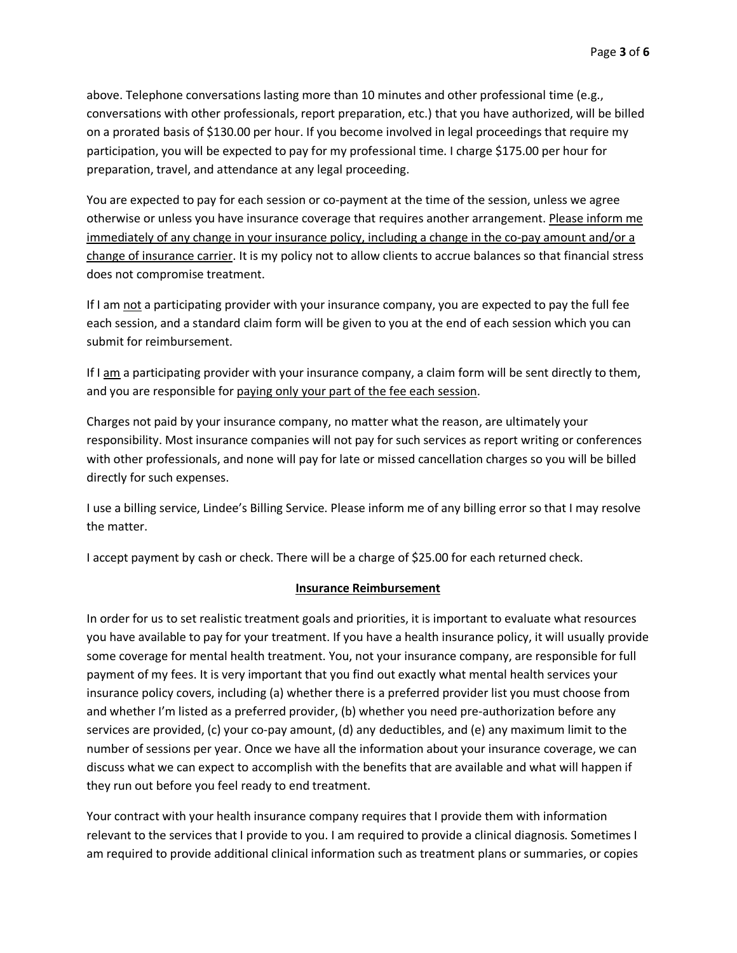above. Telephone conversations lasting more than 10 minutes and other professional time (e.g., conversations with other professionals, report preparation, etc.) that you have authorized, will be billed on a prorated basis of \$130.00 per hour. If you become involved in legal proceedings that require my participation, you will be expected to pay for my professional time. I charge \$175.00 per hour for preparation, travel, and attendance at any legal proceeding.

You are expected to pay for each session or co-payment at the time of the session, unless we agree otherwise or unless you have insurance coverage that requires another arrangement. Please inform me immediately of any change in your insurance policy, including a change in the co-pay amount and/or a change of insurance carrier. It is my policy not to allow clients to accrue balances so that financial stress does not compromise treatment.

If I am not a participating provider with your insurance company, you are expected to pay the full fee each session, and a standard claim form will be given to you at the end of each session which you can submit for reimbursement.

If I am a participating provider with your insurance company, a claim form will be sent directly to them, and you are responsible for paying only your part of the fee each session.

Charges not paid by your insurance company, no matter what the reason, are ultimately your responsibility. Most insurance companies will not pay for such services as report writing or conferences with other professionals, and none will pay for late or missed cancellation charges so you will be billed directly for such expenses.

I use a billing service, Lindee's Billing Service. Please inform me of any billing error so that I may resolve the matter.

I accept payment by cash or check. There will be a charge of \$25.00 for each returned check.

#### **Insurance Reimbursement**

In order for us to set realistic treatment goals and priorities, it is important to evaluate what resources you have available to pay for your treatment. If you have a health insurance policy, it will usually provide some coverage for mental health treatment. You, not your insurance company, are responsible for full payment of my fees. It is very important that you find out exactly what mental health services your insurance policy covers, including (a) whether there is a preferred provider list you must choose from and whether I'm listed as a preferred provider, (b) whether you need pre-authorization before any services are provided, (c) your co-pay amount, (d) any deductibles, and (e) any maximum limit to the number of sessions per year. Once we have all the information about your insurance coverage, we can discuss what we can expect to accomplish with the benefits that are available and what will happen if they run out before you feel ready to end treatment.

Your contract with your health insurance company requires that I provide them with information relevant to the services that I provide to you. I am required to provide a clinical diagnosis. Sometimes I am required to provide additional clinical information such as treatment plans or summaries, or copies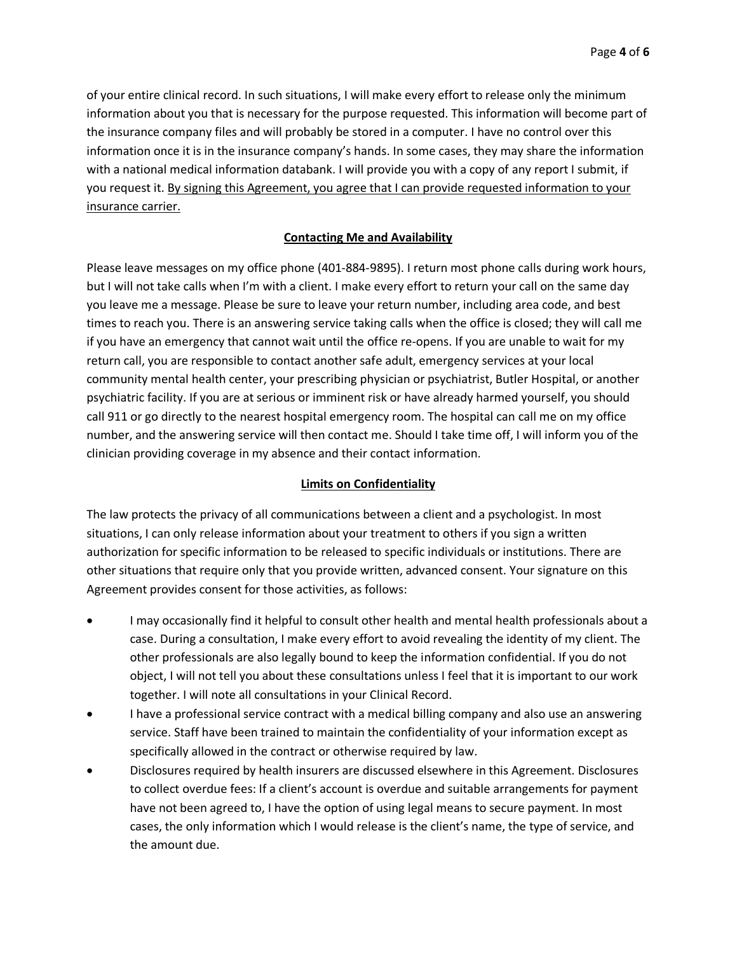of your entire clinical record. In such situations, I will make every effort to release only the minimum information about you that is necessary for the purpose requested. This information will become part of the insurance company files and will probably be stored in a computer. I have no control over this information once it is in the insurance company's hands. In some cases, they may share the information with a national medical information databank. I will provide you with a copy of any report I submit, if you request it. By signing this Agreement, you agree that I can provide requested information to your insurance carrier.

## **Contacting Me and Availability**

Please leave messages on my office phone (401-884-9895). I return most phone calls during work hours, but I will not take calls when I'm with a client. I make every effort to return your call on the same day you leave me a message. Please be sure to leave your return number, including area code, and best times to reach you. There is an answering service taking calls when the office is closed; they will call me if you have an emergency that cannot wait until the office re-opens. If you are unable to wait for my return call, you are responsible to contact another safe adult, emergency services at your local community mental health center, your prescribing physician or psychiatrist, Butler Hospital, or another psychiatric facility. If you are at serious or imminent risk or have already harmed yourself, you should call 911 or go directly to the nearest hospital emergency room. The hospital can call me on my office number, and the answering service will then contact me. Should I take time off, I will inform you of the clinician providing coverage in my absence and their contact information.

# **Limits on Confidentiality**

The law protects the privacy of all communications between a client and a psychologist. In most situations, I can only release information about your treatment to others if you sign a written authorization for specific information to be released to specific individuals or institutions. There are other situations that require only that you provide written, advanced consent. Your signature on this Agreement provides consent for those activities, as follows:

- I may occasionally find it helpful to consult other health and mental health professionals about a case. During a consultation, I make every effort to avoid revealing the identity of my client. The other professionals are also legally bound to keep the information confidential. If you do not object, I will not tell you about these consultations unless I feel that it is important to our work together. I will note all consultations in your Clinical Record.
- I have a professional service contract with a medical billing company and also use an answering service. Staff have been trained to maintain the confidentiality of your information except as specifically allowed in the contract or otherwise required by law.
- Disclosures required by health insurers are discussed elsewhere in this Agreement. Disclosures to collect overdue fees: If a client's account is overdue and suitable arrangements for payment have not been agreed to, I have the option of using legal means to secure payment. In most cases, the only information which I would release is the client's name, the type of service, and the amount due.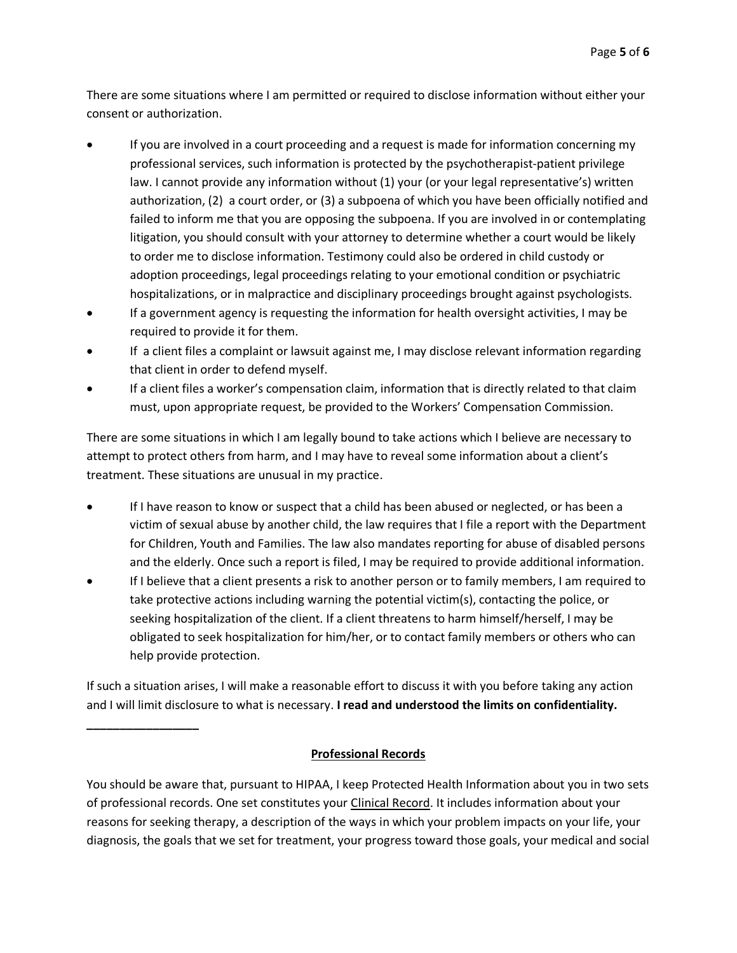There are some situations where I am permitted or required to disclose information without either your consent or authorization.

- If you are involved in a court proceeding and a request is made for information concerning my professional services, such information is protected by the psychotherapist-patient privilege law. I cannot provide any information without (1) your (or your legal representative's) written authorization, (2) a court order, or (3) a subpoena of which you have been officially notified and failed to inform me that you are opposing the subpoena. If you are involved in or contemplating litigation, you should consult with your attorney to determine whether a court would be likely to order me to disclose information. Testimony could also be ordered in child custody or adoption proceedings, legal proceedings relating to your emotional condition or psychiatric hospitalizations, or in malpractice and disciplinary proceedings brought against psychologists.
- If a government agency is requesting the information for health oversight activities, I may be required to provide it for them.
- If a client files a complaint or lawsuit against me, I may disclose relevant information regarding that client in order to defend myself.
- If a client files a worker's compensation claim, information that is directly related to that claim must, upon appropriate request, be provided to the Workers' Compensation Commission.

There are some situations in which I am legally bound to take actions which I believe are necessary to attempt to protect others from harm, and I may have to reveal some information about a client's treatment. These situations are unusual in my practice.

- If I have reason to know or suspect that a child has been abused or neglected, or has been a victim of sexual abuse by another child, the law requires that I file a report with the Department for Children, Youth and Families. The law also mandates reporting for abuse of disabled persons and the elderly. Once such a report is filed, I may be required to provide additional information.
- If I believe that a client presents a risk to another person or to family members, I am required to take protective actions including warning the potential victim(s), contacting the police, or seeking hospitalization of the client. If a client threatens to harm himself/herself, I may be obligated to seek hospitalization for him/her, or to contact family members or others who can help provide protection.

If such a situation arises, I will make a reasonable effort to discuss it with you before taking any action and I will limit disclosure to what is necessary. **I read and understood the limits on confidentiality.** 

**\_\_\_\_\_\_\_\_\_\_\_\_\_\_\_\_\_**

# **Professional Records**

You should be aware that, pursuant to HIPAA, I keep Protected Health Information about you in two sets of professional records. One set constitutes your Clinical Record. It includes information about your reasons for seeking therapy, a description of the ways in which your problem impacts on your life, your diagnosis, the goals that we set for treatment, your progress toward those goals, your medical and social